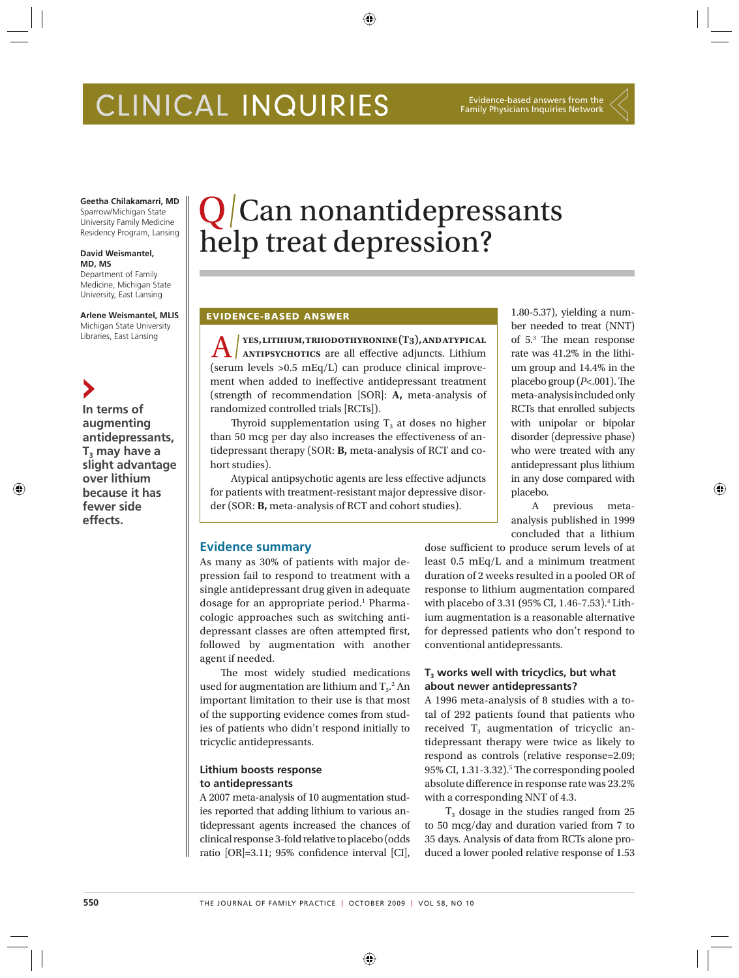# CLINICAL INQUIRIES

#### Evidence-based answers from the Family Physicians Inquiries Network

**Geetha Chilakamarri, MD** Sparrow/Michigan State University Family Medicine Residency Program, Lansing

#### **David Weismantel, MD, MS**

Department of Family Medicine, Michigan State University, East Lansing

#### **Arlene Weismantel, MLIS** Michigan State University

Libraries, East Lansing

↔

**In terms of augmenting antidepressants, T<sub>3</sub>** may have a **slight advantage over lithium because it has fewer side effects.**

# $Q/C$ an nonantidepressants help treat depression?

# **EVIDENCE-BASED ANSWER**

**A x x x x antiparty. The** *set are all effective adjuncts***. Lithium <b>and** *s* **d** (serum levels >0.5 mEq/L) can produce clinical improvement when added to ineffective antidepressant treatment (strength of recommendation [SOR]: **A,** meta-analysis of randomized controlled trials [RCTs]).

Thyroid supplementation using  $T_3$  at doses no higher than 50 mcg per day also increases the effectiveness of antidepressant therapy (SOR: **B,** meta-analysis of RCT and cohort studies).

Atypical antipsychotic agents are less effective adjuncts for patients with treatment-resistant major depressive disorder (SOR: **B,** meta-analysis of RCT and cohort studies).

# **Evidence summary**

As many as 30% of patients with major depression fail to respond to treatment with a single antidepressant drug given in adequate dosage for an appropriate period.<sup>1</sup> Pharmacologic approaches such as switching antidepressant classes are often attempted first, followed by augmentation with another agent if needed.

The most widely studied medications used for augmentation are lithium and  $T_3$ .<sup>2</sup> An important limitation to their use is that most of the supporting evidence comes from studies of patients who didn't respond initially to tricyclic antidepressants.

## **Lithium boosts response to antidepressants**

A 2007 meta-analysis of 10 augmentation studies reported that adding lithium to various antidepressant agents increased the chances of clinical response 3-fold relative to placebo (odds ratio  $[OR]=3.11$ ; 95% confidence interval  $[CI]$ ,

1.80-5.37), yielding a number needed to treat (NNT) of  $5<sup>3</sup>$  The mean response rate was 41.2% in the lithium group and 14.4% in the placebo group  $(P<.001)$ . The meta-analysis included only RCTs that enrolled subjects with unipolar or bipolar disorder (depressive phase) who were treated with any antidepressant plus lithium in any dose compared with placebo.

A previous metaanalysis published in 1999 concluded that a lithium ⊕

dose sufficient to produce serum levels of at least 0.5 mEq/L and a minimum treatment duration of 2 weeks resulted in a pooled OR of response to lithium augmentation compared with placebo of 3.31 (95% CI, 1.46-7.53).4 Lithium augmentation is a reasonable alternative for depressed patients who don't respond to conventional antidepressants.

# T<sub>3</sub> works well with tricyclics, but what **about newer antidepressants?**

A 1996 meta-analysis of 8 studies with a total of 292 patients found that patients who received  $T_3$  augmentation of tricyclic antidepressant therapy were twice as likely to respond as controls (relative response=2.09; 95% CI, 1.31-3.32).<sup>5</sup> The corresponding pooled absolute difference in response rate was 23.2% with a corresponding NNT of 4.3.

 $T<sub>3</sub>$  dosage in the studies ranged from 25 to 50 mcg/day and duration varied from 7 to 35 days. Analysis of data from RCTs alone produced a lower pooled relative response of 1.53

 $\bigoplus$ 

⊕